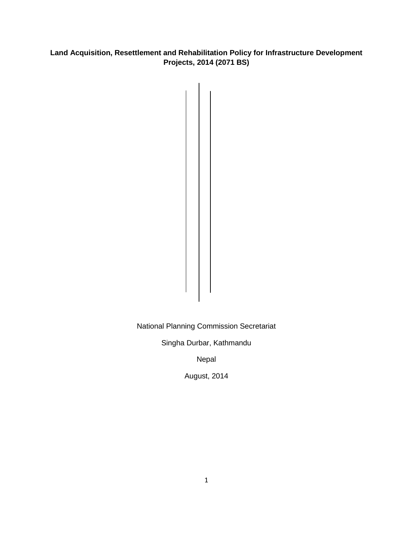# **Land Acquisition, Resettlement and Rehabilitation Policy for Infrastructure Development Projects, 2014 (2071 BS)**

National Planning Commission Secretariat

Singha Durbar, Kathmandu

Nepal

August, 2014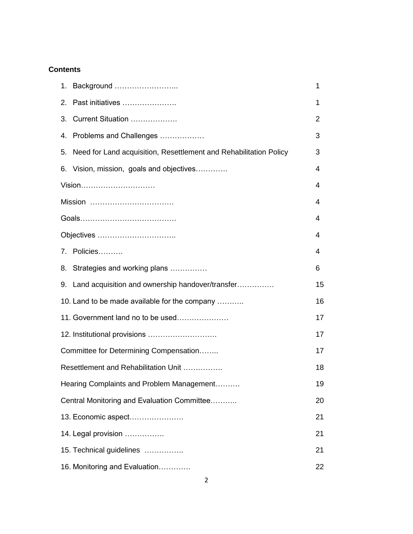# **Contents**

|                                             |                                                                   | 1  |
|---------------------------------------------|-------------------------------------------------------------------|----|
| 2.                                          | Past initiatives                                                  | 1  |
| 3.                                          | Current Situation                                                 | 2  |
| 4.                                          | Problems and Challenges                                           | 3  |
| 5.                                          | Need for Land acquisition, Resettlement and Rehabilitation Policy | 3  |
|                                             | 6. Vision, mission, goals and objectives                          | 4  |
| Vision                                      |                                                                   | 4  |
| Mission                                     |                                                                   | 4  |
|                                             |                                                                   | 4  |
|                                             |                                                                   | 4  |
|                                             | 7. Policies                                                       | 4  |
|                                             | 8. Strategies and working plans                                   | 6  |
|                                             | 9. Land acquisition and ownership handover/transfer               | 15 |
|                                             | 10. Land to be made available for the company                     | 16 |
|                                             | 11. Government land no to be used                                 | 17 |
|                                             |                                                                   | 17 |
| Committee for Determining Compensation      |                                                                   | 17 |
| Resettlement and Rehabilitation Unit        |                                                                   | 18 |
|                                             | Hearing Complaints and Problem Management                         | 19 |
| Central Monitoring and Evaluation Committee |                                                                   | 20 |
| 13. Economic aspect                         |                                                                   | 21 |
| 14. Legal provision                         |                                                                   | 21 |
|                                             | 15. Technical guidelines                                          | 21 |
| 16. Monitoring and Evaluation               |                                                                   |    |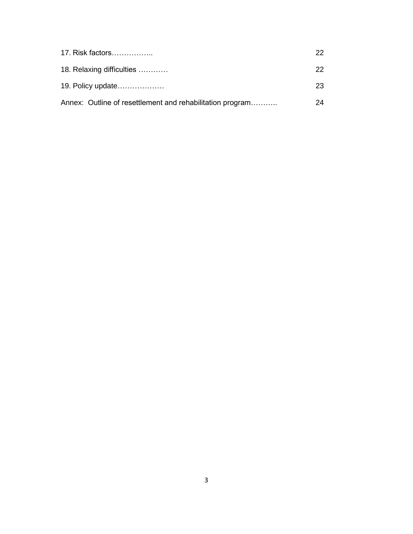| 17. Risk factors                                          | 22. |
|-----------------------------------------------------------|-----|
| 18. Relaxing difficulties                                 | 22. |
| 19. Policy update                                         | 23. |
| Annex: Outline of resettlement and rehabilitation program | 24  |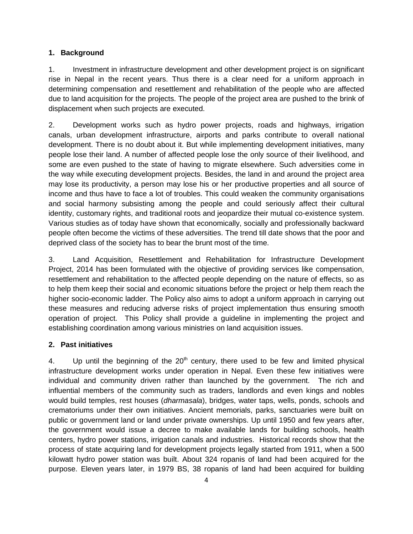### **1. Background**

1. Investment in infrastructure development and other development project is on significant rise in Nepal in the recent years. Thus there is a clear need for a uniform approach in determining compensation and resettlement and rehabilitation of the people who are affected due to land acquisition for the projects. The people of the project area are pushed to the brink of displacement when such projects are executed.

2. Development works such as hydro power projects, roads and highways, irrigation canals, urban development infrastructure, airports and parks contribute to overall national development. There is no doubt about it. But while implementing development initiatives, many people lose their land. A number of affected people lose the only source of their livelihood, and some are even pushed to the state of having to migrate elsewhere. Such adversities come in the way while executing development projects. Besides, the land in and around the project area may lose its productivity, a person may lose his or her productive properties and all source of income and thus have to face a lot of troubles. This could weaken the community organisations and social harmony subsisting among the people and could seriously affect their cultural identity, customary rights, and traditional roots and jeopardize their mutual co-existence system. Various studies as of today have shown that economically, socially and professionally backward people often become the victims of these adversities. The trend till date shows that the poor and deprived class of the society has to bear the brunt most of the time.

3. Land Acquisition, Resettlement and Rehabilitation for Infrastructure Development Project, 2014 has been formulated with the objective of providing services like compensation, resettlement and rehabilitation to the affected people depending on the nature of effects, so as to help them keep their social and economic situations before the project or help them reach the higher socio-economic ladder. The Policy also aims to adopt a uniform approach in carrying out these measures and reducing adverse risks of project implementation thus ensuring smooth operation of project. This Policy shall provide a guideline in implementing the project and establishing coordination among various ministries on land acquisition issues.

## **2. Past initiatives**

4. Up until the beginning of the  $20<sup>th</sup>$  century, there used to be few and limited physical infrastructure development works under operation in Nepal. Even these few initiatives were individual and community driven rather than launched by the government. The rich and influential members of the community such as traders, landlords and even kings and nobles would build temples, rest houses (*dharmasala*), bridges, water taps, wells, ponds, schools and crematoriums under their own initiatives. Ancient memorials, parks, sanctuaries were built on public or government land or land under private ownerships. Up until 1950 and few years after, the government would issue a decree to make available lands for building schools, health centers, hydro power stations, irrigation canals and industries. Historical records show that the process of state acquiring land for development projects legally started from 1911, when a 500 kilowatt hydro power station was built. About 324 ropanis of land had been acquired for the purpose. Eleven years later, in 1979 BS, 38 ropanis of land had been acquired for building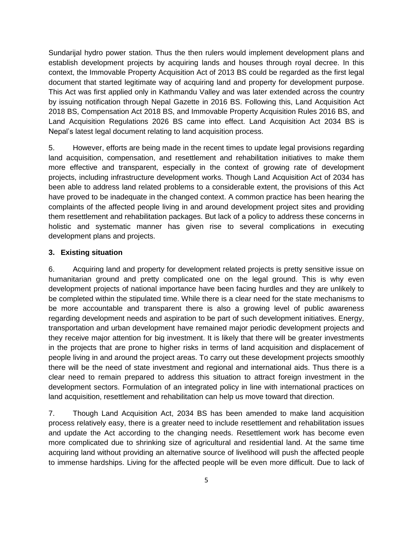Sundarijal hydro power station. Thus the then rulers would implement development plans and establish development projects by acquiring lands and houses through royal decree. In this context, the Immovable Property Acquisition Act of 2013 BS could be regarded as the first legal document that started legitimate way of acquiring land and property for development purpose. This Act was first applied only in Kathmandu Valley and was later extended across the country by issuing notification through Nepal Gazette in 2016 BS. Following this, Land Acquisition Act 2018 BS, Compensation Act 2018 BS, and Immovable Property Acquisition Rules 2016 BS, and Land Acquisition Regulations 2026 BS came into effect. Land Acquisition Act 2034 BS is Nepal's latest legal document relating to land acquisition process.

5. However, efforts are being made in the recent times to update legal provisions regarding land acquisition, compensation, and resettlement and rehabilitation initiatives to make them more effective and transparent, especially in the context of growing rate of development projects, including infrastructure development works. Though Land Acquisition Act of 2034 has been able to address land related problems to a considerable extent, the provisions of this Act have proved to be inadequate in the changed context. A common practice has been hearing the complaints of the affected people living in and around development project sites and providing them resettlement and rehabilitation packages. But lack of a policy to address these concerns in holistic and systematic manner has given rise to several complications in executing development plans and projects.

### **3. Existing situation**

6. Acquiring land and property for development related projects is pretty sensitive issue on humanitarian ground and pretty complicated one on the legal ground. This is why even development projects of national importance have been facing hurdles and they are unlikely to be completed within the stipulated time. While there is a clear need for the state mechanisms to be more accountable and transparent there is also a growing level of public awareness regarding development needs and aspiration to be part of such development initiatives. Energy, transportation and urban development have remained major periodic development projects and they receive major attention for big investment. It is likely that there will be greater investments in the projects that are prone to higher risks in terms of land acquisition and displacement of people living in and around the project areas. To carry out these development projects smoothly there will be the need of state investment and regional and international aids. Thus there is a clear need to remain prepared to address this situation to attract foreign investment in the development sectors. Formulation of an integrated policy in line with international practices on land acquisition, resettlement and rehabilitation can help us move toward that direction.

7. Though Land Acquisition Act, 2034 BS has been amended to make land acquisition process relatively easy, there is a greater need to include resettlement and rehabilitation issues and update the Act according to the changing needs. Resettlement work has become even more complicated due to shrinking size of agricultural and residential land. At the same time acquiring land without providing an alternative source of livelihood will push the affected people to immense hardships. Living for the affected people will be even more difficult. Due to lack of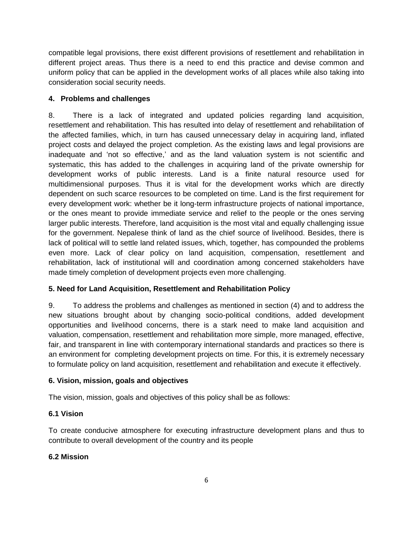compatible legal provisions, there exist different provisions of resettlement and rehabilitation in different project areas. Thus there is a need to end this practice and devise common and uniform policy that can be applied in the development works of all places while also taking into consideration social security needs.

# **4. Problems and challenges**

8. There is a lack of integrated and updated policies regarding land acquisition, resettlement and rehabilitation. This has resulted into delay of resettlement and rehabilitation of the affected families, which, in turn has caused unnecessary delay in acquiring land, inflated project costs and delayed the project completion. As the existing laws and legal provisions are inadequate and 'not so effective,' and as the land valuation system is not scientific and systematic, this has added to the challenges in acquiring land of the private ownership for development works of public interests. Land is a finite natural resource used for multidimensional purposes. Thus it is vital for the development works which are directly dependent on such scarce resources to be completed on time. Land is the first requirement for every development work: whether be it long-term infrastructure projects of national importance, or the ones meant to provide immediate service and relief to the people or the ones serving larger public interests. Therefore, land acquisition is the most vital and equally challenging issue for the government. Nepalese think of land as the chief source of livelihood. Besides, there is lack of political will to settle land related issues, which, together, has compounded the problems even more. Lack of clear policy on land acquisition, compensation, resettlement and rehabilitation, lack of institutional will and coordination among concerned stakeholders have made timely completion of development projects even more challenging.

# **5. Need for Land Acquisition, Resettlement and Rehabilitation Policy**

9. To address the problems and challenges as mentioned in section (4) and to address the new situations brought about by changing socio-political conditions, added development opportunities and livelihood concerns, there is a stark need to make land acquisition and valuation, compensation, resettlement and rehabilitation more simple, more managed, effective, fair, and transparent in line with contemporary international standards and practices so there is an environment for completing development projects on time. For this, it is extremely necessary to formulate policy on land acquisition, resettlement and rehabilitation and execute it effectively.

## **6. Vision, mission, goals and objectives**

The vision, mission, goals and objectives of this policy shall be as follows:

# **6.1 Vision**

To create conducive atmosphere for executing infrastructure development plans and thus to contribute to overall development of the country and its people

## **6.2 Mission**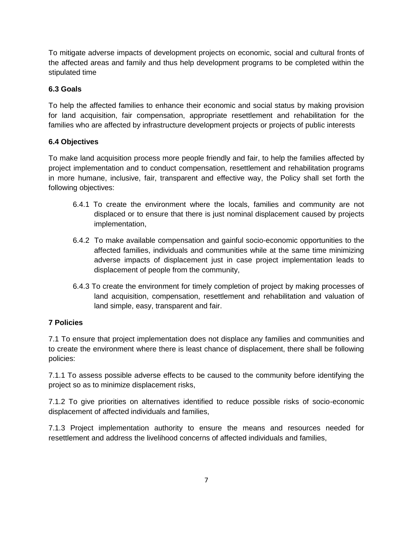To mitigate adverse impacts of development projects on economic, social and cultural fronts of the affected areas and family and thus help development programs to be completed within the stipulated time

# **6.3 Goals**

To help the affected families to enhance their economic and social status by making provision for land acquisition, fair compensation, appropriate resettlement and rehabilitation for the families who are affected by infrastructure development projects or projects of public interests

# **6.4 Objectives**

To make land acquisition process more people friendly and fair, to help the families affected by project implementation and to conduct compensation, resettlement and rehabilitation programs in more humane, inclusive, fair, transparent and effective way, the Policy shall set forth the following objectives:

- 6.4.1 To create the environment where the locals, families and community are not displaced or to ensure that there is just nominal displacement caused by projects implementation,
- 6.4.2 To make available compensation and gainful socio-economic opportunities to the affected families, individuals and communities while at the same time minimizing adverse impacts of displacement just in case project implementation leads to displacement of people from the community,
- 6.4.3 To create the environment for timely completion of project by making processes of land acquisition, compensation, resettlement and rehabilitation and valuation of land simple, easy, transparent and fair.

# **7 Policies**

7.1 To ensure that project implementation does not displace any families and communities and to create the environment where there is least chance of displacement, there shall be following policies:

7.1.1 To assess possible adverse effects to be caused to the community before identifying the project so as to minimize displacement risks,

7.1.2 To give priorities on alternatives identified to reduce possible risks of socio-economic displacement of affected individuals and families,

7.1.3 Project implementation authority to ensure the means and resources needed for resettlement and address the livelihood concerns of affected individuals and families,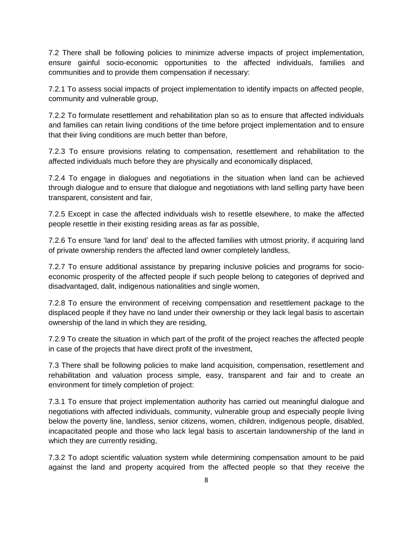7.2 There shall be following policies to minimize adverse impacts of project implementation, ensure gainful socio-economic opportunities to the affected individuals, families and communities and to provide them compensation if necessary:

7.2.1 To assess social impacts of project implementation to identify impacts on affected people, community and vulnerable group,

7.2.2 To formulate resettlement and rehabilitation plan so as to ensure that affected individuals and families can retain living conditions of the time before project implementation and to ensure that their living conditions are much better than before,

7.2.3 To ensure provisions relating to compensation, resettlement and rehabilitation to the affected individuals much before they are physically and economically displaced,

7.2.4 To engage in dialogues and negotiations in the situation when land can be achieved through dialogue and to ensure that dialogue and negotiations with land selling party have been transparent, consistent and fair,

7.2.5 Except in case the affected individuals wish to resettle elsewhere, to make the affected people resettle in their existing residing areas as far as possible,

7.2.6 To ensure 'land for land' deal to the affected families with utmost priority, if acquiring land of private ownership renders the affected land owner completely landless,

7.2.7 To ensure additional assistance by preparing inclusive policies and programs for socioeconomic prosperity of the affected people if such people belong to categories of deprived and disadvantaged, dalit, indigenous nationalities and single women,

7.2.8 To ensure the environment of receiving compensation and resettlement package to the displaced people if they have no land under their ownership or they lack legal basis to ascertain ownership of the land in which they are residing,

7.2.9 To create the situation in which part of the profit of the project reaches the affected people in case of the projects that have direct profit of the investment,

7.3 There shall be following policies to make land acquisition, compensation, resettlement and rehabilitation and valuation process simple, easy, transparent and fair and to create an environment for timely completion of project:

7.3.1 To ensure that project implementation authority has carried out meaningful dialogue and negotiations with affected individuals, community, vulnerable group and especially people living below the poverty line, landless, senior citizens, women, children, indigenous people, disabled, incapacitated people and those who lack legal basis to ascertain landownership of the land in which they are currently residing,

7.3.2 To adopt scientific valuation system while determining compensation amount to be paid against the land and property acquired from the affected people so that they receive the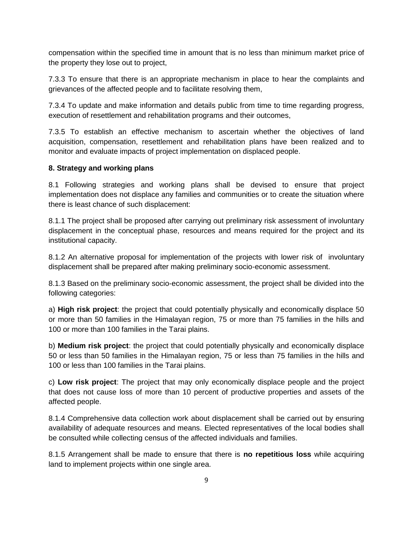compensation within the specified time in amount that is no less than minimum market price of the property they lose out to project,

7.3.3 To ensure that there is an appropriate mechanism in place to hear the complaints and grievances of the affected people and to facilitate resolving them,

7.3.4 To update and make information and details public from time to time regarding progress, execution of resettlement and rehabilitation programs and their outcomes,

7.3.5 To establish an effective mechanism to ascertain whether the objectives of land acquisition, compensation, resettlement and rehabilitation plans have been realized and to monitor and evaluate impacts of project implementation on displaced people.

## **8. Strategy and working plans**

8.1 Following strategies and working plans shall be devised to ensure that project implementation does not displace any families and communities or to create the situation where there is least chance of such displacement:

8.1.1 The project shall be proposed after carrying out preliminary risk assessment of involuntary displacement in the conceptual phase, resources and means required for the project and its institutional capacity.

8.1.2 An alternative proposal for implementation of the projects with lower risk of involuntary displacement shall be prepared after making preliminary socio-economic assessment.

8.1.3 Based on the preliminary socio-economic assessment, the project shall be divided into the following categories:

a) **High risk project**: the project that could potentially physically and economically displace 50 or more than 50 families in the Himalayan region, 75 or more than 75 families in the hills and 100 or more than 100 families in the Tarai plains.

b) **Medium risk project**: the project that could potentially physically and economically displace 50 or less than 50 families in the Himalayan region, 75 or less than 75 families in the hills and 100 or less than 100 families in the Tarai plains.

c) **Low risk project**: The project that may only economically displace people and the project that does not cause loss of more than 10 percent of productive properties and assets of the affected people.

8.1.4 Comprehensive data collection work about displacement shall be carried out by ensuring availability of adequate resources and means. Elected representatives of the local bodies shall be consulted while collecting census of the affected individuals and families.

8.1.5 Arrangement shall be made to ensure that there is **no repetitious loss** while acquiring land to implement projects within one single area.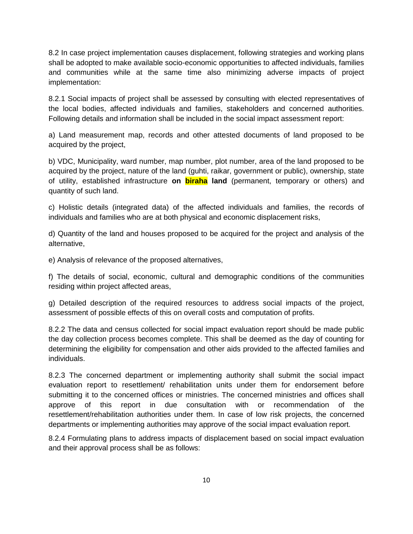8.2 In case project implementation causes displacement, following strategies and working plans shall be adopted to make available socio-economic opportunities to affected individuals, families and communities while at the same time also minimizing adverse impacts of project implementation:

8.2.1 Social impacts of project shall be assessed by consulting with elected representatives of the local bodies, affected individuals and families, stakeholders and concerned authorities. Following details and information shall be included in the social impact assessment report:

a) Land measurement map, records and other attested documents of land proposed to be acquired by the project,

b) VDC, Municipality, ward number, map number, plot number, area of the land proposed to be acquired by the project, nature of the land (guhti, raikar, government or public), ownership, state of utility, established infrastructure **on biraha land** (permanent, temporary or others) and quantity of such land.

c) Holistic details (integrated data) of the affected individuals and families, the records of individuals and families who are at both physical and economic displacement risks,

d) Quantity of the land and houses proposed to be acquired for the project and analysis of the alternative,

e) Analysis of relevance of the proposed alternatives,

f) The details of social, economic, cultural and demographic conditions of the communities residing within project affected areas,

g) Detailed description of the required resources to address social impacts of the project, assessment of possible effects of this on overall costs and computation of profits.

8.2.2 The data and census collected for social impact evaluation report should be made public the day collection process becomes complete. This shall be deemed as the day of counting for determining the eligibility for compensation and other aids provided to the affected families and individuals.

8.2.3 The concerned department or implementing authority shall submit the social impact evaluation report to resettlement/ rehabilitation units under them for endorsement before submitting it to the concerned offices or ministries. The concerned ministries and offices shall approve of this report in due consultation with or recommendation of the resettlement/rehabilitation authorities under them. In case of low risk projects, the concerned departments or implementing authorities may approve of the social impact evaluation report.

8.2.4 Formulating plans to address impacts of displacement based on social impact evaluation and their approval process shall be as follows: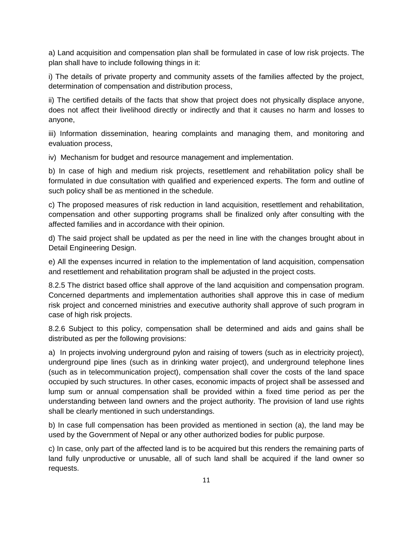a) Land acquisition and compensation plan shall be formulated in case of low risk projects. The plan shall have to include following things in it:

i) The details of private property and community assets of the families affected by the project, determination of compensation and distribution process,

ii) The certified details of the facts that show that project does not physically displace anyone, does not affect their livelihood directly or indirectly and that it causes no harm and losses to anyone,

iii) Information dissemination, hearing complaints and managing them, and monitoring and evaluation process,

iv) Mechanism for budget and resource management and implementation.

b) In case of high and medium risk projects, resettlement and rehabilitation policy shall be formulated in due consultation with qualified and experienced experts. The form and outline of such policy shall be as mentioned in the schedule.

c) The proposed measures of risk reduction in land acquisition, resettlement and rehabilitation, compensation and other supporting programs shall be finalized only after consulting with the affected families and in accordance with their opinion.

d) The said project shall be updated as per the need in line with the changes brought about in Detail Engineering Design.

e) All the expenses incurred in relation to the implementation of land acquisition, compensation and resettlement and rehabilitation program shall be adjusted in the project costs.

8.2.5 The district based office shall approve of the land acquisition and compensation program. Concerned departments and implementation authorities shall approve this in case of medium risk project and concerned ministries and executive authority shall approve of such program in case of high risk projects.

8.2.6 Subject to this policy, compensation shall be determined and aids and gains shall be distributed as per the following provisions:

a) In projects involving underground pylon and raising of towers (such as in electricity project), underground pipe lines (such as in drinking water project), and underground telephone lines (such as in telecommunication project), compensation shall cover the costs of the land space occupied by such structures. In other cases, economic impacts of project shall be assessed and lump sum or annual compensation shall be provided within a fixed time period as per the understanding between land owners and the project authority. The provision of land use rights shall be clearly mentioned in such understandings.

b) In case full compensation has been provided as mentioned in section (a), the land may be used by the Government of Nepal or any other authorized bodies for public purpose.

c) In case, only part of the affected land is to be acquired but this renders the remaining parts of land fully unproductive or unusable, all of such land shall be acquired if the land owner so requests.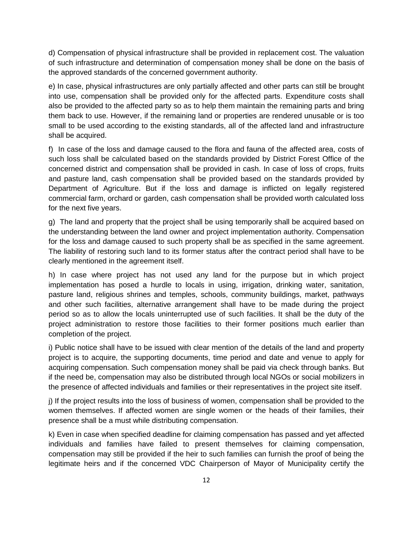d) Compensation of physical infrastructure shall be provided in replacement cost. The valuation of such infrastructure and determination of compensation money shall be done on the basis of the approved standards of the concerned government authority.

e) In case, physical infrastructures are only partially affected and other parts can still be brought into use, compensation shall be provided only for the affected parts. Expenditure costs shall also be provided to the affected party so as to help them maintain the remaining parts and bring them back to use. However, if the remaining land or properties are rendered unusable or is too small to be used according to the existing standards, all of the affected land and infrastructure shall be acquired.

f) In case of the loss and damage caused to the flora and fauna of the affected area, costs of such loss shall be calculated based on the standards provided by District Forest Office of the concerned district and compensation shall be provided in cash. In case of loss of crops, fruits and pasture land, cash compensation shall be provided based on the standards provided by Department of Agriculture. But if the loss and damage is inflicted on legally registered commercial farm, orchard or garden, cash compensation shall be provided worth calculated loss for the next five years.

g) The land and property that the project shall be using temporarily shall be acquired based on the understanding between the land owner and project implementation authority. Compensation for the loss and damage caused to such property shall be as specified in the same agreement. The liability of restoring such land to its former status after the contract period shall have to be clearly mentioned in the agreement itself.

h) In case where project has not used any land for the purpose but in which project implementation has posed a hurdle to locals in using, irrigation, drinking water, sanitation, pasture land, religious shrines and temples, schools, community buildings, market, pathways and other such facilities, alternative arrangement shall have to be made during the project period so as to allow the locals uninterrupted use of such facilities. It shall be the duty of the project administration to restore those facilities to their former positions much earlier than completion of the project.

i) Public notice shall have to be issued with clear mention of the details of the land and property project is to acquire, the supporting documents, time period and date and venue to apply for acquiring compensation. Such compensation money shall be paid via check through banks. But if the need be, compensation may also be distributed through local NGOs or social mobilizers in the presence of affected individuals and families or their representatives in the project site itself.

j) If the project results into the loss of business of women, compensation shall be provided to the women themselves. If affected women are single women or the heads of their families, their presence shall be a must while distributing compensation.

k) Even in case when specified deadline for claiming compensation has passed and yet affected individuals and families have failed to present themselves for claiming compensation, compensation may still be provided if the heir to such families can furnish the proof of being the legitimate heirs and if the concerned VDC Chairperson of Mayor of Municipality certify the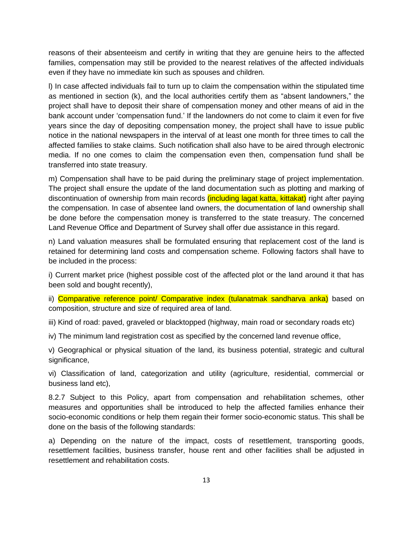reasons of their absenteeism and certify in writing that they are genuine heirs to the affected families, compensation may still be provided to the nearest relatives of the affected individuals even if they have no immediate kin such as spouses and children.

l) In case affected individuals fail to turn up to claim the compensation within the stipulated time as mentioned in section (k), and the local authorities certify them as "absent landowners," the project shall have to deposit their share of compensation money and other means of aid in the bank account under 'compensation fund.' If the landowners do not come to claim it even for five years since the day of depositing compensation money, the project shall have to issue public notice in the national newspapers in the interval of at least one month for three times to call the affected families to stake claims. Such notification shall also have to be aired through electronic media. If no one comes to claim the compensation even then, compensation fund shall be transferred into state treasury.

m) Compensation shall have to be paid during the preliminary stage of project implementation. The project shall ensure the update of the land documentation such as plotting and marking of discontinuation of ownership from main records *(including lagat katta, kittakat)* right after paying the compensation. In case of absentee land owners, the documentation of land ownership shall be done before the compensation money is transferred to the state treasury. The concerned Land Revenue Office and Department of Survey shall offer due assistance in this regard.

n) Land valuation measures shall be formulated ensuring that replacement cost of the land is retained for determining land costs and compensation scheme. Following factors shall have to be included in the process:

i) Current market price (highest possible cost of the affected plot or the land around it that has been sold and bought recently),

ii) Comparative reference point/ Comparative index (tulanatmak sandharva anka) based on composition, structure and size of required area of land.

iii) Kind of road: paved, graveled or blacktopped (highway, main road or secondary roads etc)

iv) The minimum land registration cost as specified by the concerned land revenue office,

v) Geographical or physical situation of the land, its business potential, strategic and cultural significance,

vi) Classification of land, categorization and utility (agriculture, residential, commercial or business land etc),

8.2.7 Subject to this Policy, apart from compensation and rehabilitation schemes, other measures and opportunities shall be introduced to help the affected families enhance their socio-economic conditions or help them regain their former socio-economic status. This shall be done on the basis of the following standards:

a) Depending on the nature of the impact, costs of resettlement, transporting goods, resettlement facilities, business transfer, house rent and other facilities shall be adjusted in resettlement and rehabilitation costs.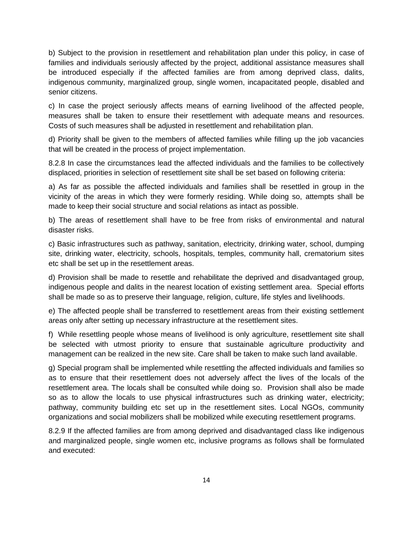b) Subject to the provision in resettlement and rehabilitation plan under this policy, in case of families and individuals seriously affected by the project, additional assistance measures shall be introduced especially if the affected families are from among deprived class, dalits, indigenous community, marginalized group, single women, incapacitated people, disabled and senior citizens.

c) In case the project seriously affects means of earning livelihood of the affected people, measures shall be taken to ensure their resettlement with adequate means and resources. Costs of such measures shall be adjusted in resettlement and rehabilitation plan.

d) Priority shall be given to the members of affected families while filling up the job vacancies that will be created in the process of project implementation.

8.2.8 In case the circumstances lead the affected individuals and the families to be collectively displaced, priorities in selection of resettlement site shall be set based on following criteria:

a) As far as possible the affected individuals and families shall be resettled in group in the vicinity of the areas in which they were formerly residing. While doing so, attempts shall be made to keep their social structure and social relations as intact as possible.

b) The areas of resettlement shall have to be free from risks of environmental and natural disaster risks.

c) Basic infrastructures such as pathway, sanitation, electricity, drinking water, school, dumping site, drinking water, electricity, schools, hospitals, temples, community hall, crematorium sites etc shall be set up in the resettlement areas.

d) Provision shall be made to resettle and rehabilitate the deprived and disadvantaged group, indigenous people and dalits in the nearest location of existing settlement area. Special efforts shall be made so as to preserve their language, religion, culture, life styles and livelihoods.

e) The affected people shall be transferred to resettlement areas from their existing settlement areas only after setting up necessary infrastructure at the resettlement sites.

f) While resettling people whose means of livelihood is only agriculture, resettlement site shall be selected with utmost priority to ensure that sustainable agriculture productivity and management can be realized in the new site. Care shall be taken to make such land available.

g) Special program shall be implemented while resettling the affected individuals and families so as to ensure that their resettlement does not adversely affect the lives of the locals of the resettlement area. The locals shall be consulted while doing so. Provision shall also be made so as to allow the locals to use physical infrastructures such as drinking water, electricity; pathway, community building etc set up in the resettlement sites. Local NGOs, community organizations and social mobilizers shall be mobilized while executing resettlement programs.

8.2.9 If the affected families are from among deprived and disadvantaged class like indigenous and marginalized people, single women etc, inclusive programs as follows shall be formulated and executed: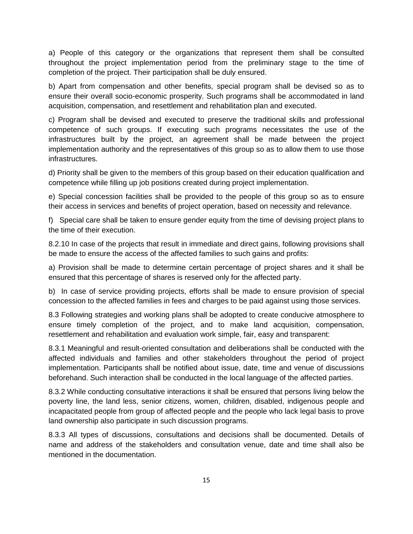a) People of this category or the organizations that represent them shall be consulted throughout the project implementation period from the preliminary stage to the time of completion of the project. Their participation shall be duly ensured.

b) Apart from compensation and other benefits, special program shall be devised so as to ensure their overall socio-economic prosperity. Such programs shall be accommodated in land acquisition, compensation, and resettlement and rehabilitation plan and executed.

c) Program shall be devised and executed to preserve the traditional skills and professional competence of such groups. If executing such programs necessitates the use of the infrastructures built by the project, an agreement shall be made between the project implementation authority and the representatives of this group so as to allow them to use those infrastructures.

d) Priority shall be given to the members of this group based on their education qualification and competence while filling up job positions created during project implementation.

e) Special concession facilities shall be provided to the people of this group so as to ensure their access in services and benefits of project operation, based on necessity and relevance.

f) Special care shall be taken to ensure gender equity from the time of devising project plans to the time of their execution.

8.2.10 In case of the projects that result in immediate and direct gains, following provisions shall be made to ensure the access of the affected families to such gains and profits:

a) Provision shall be made to determine certain percentage of project shares and it shall be ensured that this percentage of shares is reserved only for the affected party.

b) In case of service providing projects, efforts shall be made to ensure provision of special concession to the affected families in fees and charges to be paid against using those services.

8.3 Following strategies and working plans shall be adopted to create conducive atmosphere to ensure timely completion of the project, and to make land acquisition, compensation, resettlement and rehabilitation and evaluation work simple, fair, easy and transparent:

8.3.1 Meaningful and result-oriented consultation and deliberations shall be conducted with the affected individuals and families and other stakeholders throughout the period of project implementation. Participants shall be notified about issue, date, time and venue of discussions beforehand. Such interaction shall be conducted in the local language of the affected parties.

8.3.2 While conducting consultative interactions it shall be ensured that persons living below the poverty line, the land less, senior citizens, women, children, disabled, indigenous people and incapacitated people from group of affected people and the people who lack legal basis to prove land ownership also participate in such discussion programs.

8.3.3 All types of discussions, consultations and decisions shall be documented. Details of name and address of the stakeholders and consultation venue, date and time shall also be mentioned in the documentation.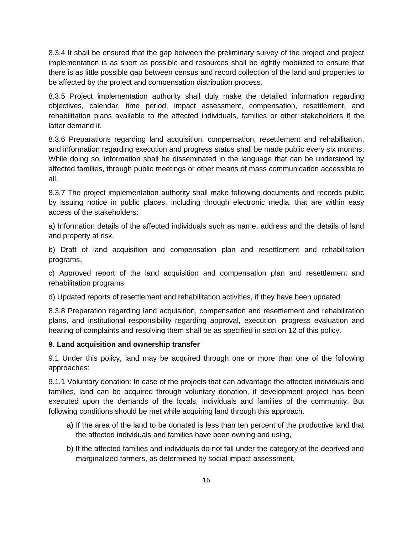8.3.4 It shall be ensured that the gap between the preliminary survey of the project and project implementation is as short as possible and resources shall be rightly mobilized to ensure that there is as little possible gap between census and record collection of the land and properties to be affected by the project and compensation distribution process.

8.3.5 Project implementation authority shall duly make the detailed information regarding objectives, calendar, time period, impact assessment, compensation, resettlement, and rehabilitation plans available to the affected individuals, families or other stakeholders if the latter demand it.

8.3.6 Preparations regarding land acquisition, compensation, resettlement and rehabilitation, and information regarding execution and progress status shall be made public every six months. While doing so, information shall be disseminated in the language that can be understood by affected families, through public meetings or other means of mass communication accessible to all.

8.3.7 The project implementation authority shall make following documents and records public by issuing notice in public places, including through electronic media, that are within easy access of the stakeholders:

a) Information details of the affected individuals such as name, address and the details of land and property at risk,

b) Draft of land acquisition and compensation plan and resettlement and rehabilitation programs,

c) Approved report of the land acquisition and compensation plan and resettlement and rehabilitation programs,

d) Updated reports of resettlement and rehabilitation activities, if they have been updated.

8.3.8 Preparation regarding land acquisition, compensation and resettlement and rehabilitation plans, and institutional responsibility regarding approval, execution, progress evaluation and hearing of complaints and resolving them shall be as specified in section 12 of this policy.

## **9. Land acquisition and ownership transfer**

9.1 Under this policy, land may be acquired through one or more than one of the following approaches:

9.1.1 Voluntary donation: In case of the projects that can advantage the affected individuals and families, land can be acquired through voluntary donation, if development project has been executed upon the demands of the locals, individuals and families of the community. But following conditions should be met while acquiring land through this approach.

- a) If the area of the land to be donated is less than ten percent of the productive land that the affected individuals and families have been owning and using,
- b) If the affected families and individuals do not fall under the category of the deprived and marginalized farmers, as determined by social impact assessment,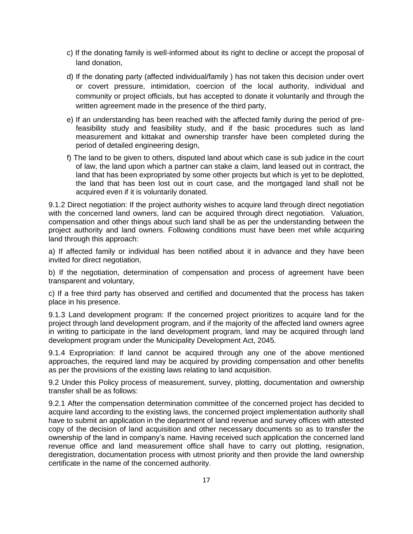- c) If the donating family is well-informed about its right to decline or accept the proposal of land donation,
- d) If the donating party (affected individual/family ) has not taken this decision under overt or covert pressure, intimidation, coercion of the local authority, individual and community or project officials, but has accepted to donate it voluntarily and through the written agreement made in the presence of the third party,
- e) If an understanding has been reached with the affected family during the period of prefeasibility study and feasibility study, and if the basic procedures such as land measurement and kittakat and ownership transfer have been completed during the period of detailed engineering design,
- f) The land to be given to others, disputed land about which case is sub judice in the court of law, the land upon which a partner can stake a claim, land leased out in contract, the land that has been expropriated by some other projects but which is yet to be deplotted, the land that has been lost out in court case, and the mortgaged land shall not be acquired even if it is voluntarily donated.

9.1.2 Direct negotiation: If the project authority wishes to acquire land through direct negotiation with the concerned land owners, land can be acquired through direct negotiation. Valuation, compensation and other things about such land shall be as per the understanding between the project authority and land owners. Following conditions must have been met while acquiring land through this approach:

a) If affected family or individual has been notified about it in advance and they have been invited for direct negotiation,

b) If the negotiation, determination of compensation and process of agreement have been transparent and voluntary,

c) If a free third party has observed and certified and documented that the process has taken place in his presence.

9.1.3 Land development program: If the concerned project prioritizes to acquire land for the project through land development program, and if the majority of the affected land owners agree in writing to participate in the land development program, land may be acquired through land development program under the Municipality Development Act, 2045.

9.1.4 Expropriation: If land cannot be acquired through any one of the above mentioned approaches, the required land may be acquired by providing compensation and other benefits as per the provisions of the existing laws relating to land acquisition.

9.2 Under this Policy process of measurement, survey, plotting, documentation and ownership transfer shall be as follows:

9.2.1 After the compensation determination committee of the concerned project has decided to acquire land according to the existing laws, the concerned project implementation authority shall have to submit an application in the department of land revenue and survey offices with attested copy of the decision of land acquisition and other necessary documents so as to transfer the ownership of the land in company's name. Having received such application the concerned land revenue office and land measurement office shall have to carry out plotting, resignation, deregistration, documentation process with utmost priority and then provide the land ownership certificate in the name of the concerned authority.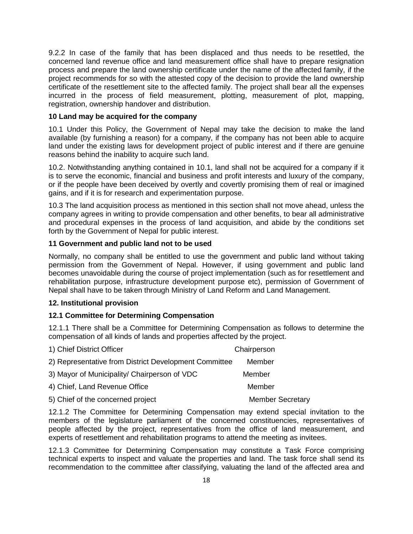9.2.2 In case of the family that has been displaced and thus needs to be resettled, the concerned land revenue office and land measurement office shall have to prepare resignation process and prepare the land ownership certificate under the name of the affected family, if the project recommends for so with the attested copy of the decision to provide the land ownership certificate of the resettlement site to the affected family. The project shall bear all the expenses incurred in the process of field measurement, plotting, measurement of plot, mapping, registration, ownership handover and distribution.

#### **10 Land may be acquired for the company**

10.1 Under this Policy, the Government of Nepal may take the decision to make the land available (by furnishing a reason) for a company, if the company has not been able to acquire land under the existing laws for development project of public interest and if there are genuine reasons behind the inability to acquire such land.

10.2. Notwithstanding anything contained in 10.1, land shall not be acquired for a company if it is to serve the economic, financial and business and profit interests and luxury of the company, or if the people have been deceived by overtly and covertly promising them of real or imagined gains, and if it is for research and experimentation purpose.

10.3 The land acquisition process as mentioned in this section shall not move ahead, unless the company agrees in writing to provide compensation and other benefits, to bear all administrative and procedural expenses in the process of land acquisition, and abide by the conditions set forth by the Government of Nepal for public interest.

### **11 Government and public land not to be used**

Normally, no company shall be entitled to use the government and public land without taking permission from the Government of Nepal. However, if using government and public land becomes unavoidable during the course of project implementation (such as for resettlement and rehabilitation purpose, infrastructure development purpose etc), permission of Government of Nepal shall have to be taken through Ministry of Land Reform and Land Management.

#### **12. Institutional provision**

## **12.1 Committee for Determining Compensation**

12.1.1 There shall be a Committee for Determining Compensation as follows to determine the compensation of all kinds of lands and properties affected by the project.

| 1) Chief District Officer                             | Chairperson             |
|-------------------------------------------------------|-------------------------|
| 2) Representative from District Development Committee | Member                  |
| 3) Mayor of Municipality/ Chairperson of VDC          | Member                  |
| 4) Chief, Land Revenue Office                         | Member                  |
| 5) Chief of the concerned project                     | <b>Member Secretary</b> |

12.1.2 The Committee for Determining Compensation may extend special invitation to the members of the legislature parliament of the concerned constituencies, representatives of people affected by the project, representatives from the office of land measurement, and experts of resettlement and rehabilitation programs to attend the meeting as invitees.

12.1.3 Committee for Determining Compensation may constitute a Task Force comprising technical experts to inspect and valuate the properties and land. The task force shall send its recommendation to the committee after classifying, valuating the land of the affected area and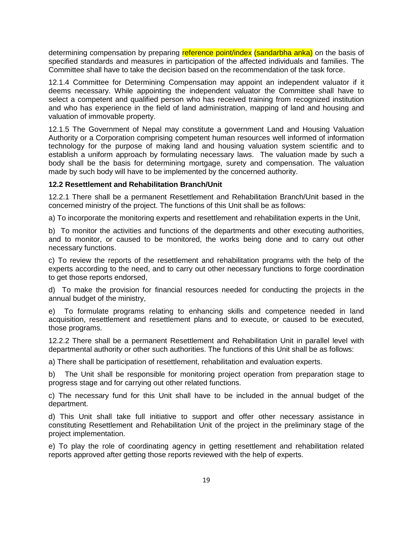determining compensation by preparing reference point/index (sandarbha anka) on the basis of specified standards and measures in participation of the affected individuals and families. The Committee shall have to take the decision based on the recommendation of the task force.

12.1.4 Committee for Determining Compensation may appoint an independent valuator if it deems necessary. While appointing the independent valuator the Committee shall have to select a competent and qualified person who has received training from recognized institution and who has experience in the field of land administration, mapping of land and housing and valuation of immovable property.

12.1.5 The Government of Nepal may constitute a government Land and Housing Valuation Authority or a Corporation comprising competent human resources well informed of information technology for the purpose of making land and housing valuation system scientific and to establish a uniform approach by formulating necessary laws. The valuation made by such a body shall be the basis for determining mortgage, surety and compensation. The valuation made by such body will have to be implemented by the concerned authority.

#### **12.2 Resettlement and Rehabilitation Branch/Unit**

12.2.1 There shall be a permanent Resettlement and Rehabilitation Branch/Unit based in the concerned ministry of the project. The functions of this Unit shall be as follows:

a) To incorporate the monitoring experts and resettlement and rehabilitation experts in the Unit,

b) To monitor the activities and functions of the departments and other executing authorities, and to monitor, or caused to be monitored, the works being done and to carry out other necessary functions.

c) To review the reports of the resettlement and rehabilitation programs with the help of the experts according to the need, and to carry out other necessary functions to forge coordination to get those reports endorsed,

d) To make the provision for financial resources needed for conducting the projects in the annual budget of the ministry,

e) To formulate programs relating to enhancing skills and competence needed in land acquisition, resettlement and resettlement plans and to execute, or caused to be executed, those programs.

12.2.2 There shall be a permanent Resettlement and Rehabilitation Unit in parallel level with departmental authority or other such authorities. The functions of this Unit shall be as follows:

a) There shall be participation of resettlement, rehabilitation and evaluation experts.

b) The Unit shall be responsible for monitoring project operation from preparation stage to progress stage and for carrying out other related functions.

c) The necessary fund for this Unit shall have to be included in the annual budget of the department.

d) This Unit shall take full initiative to support and offer other necessary assistance in constituting Resettlement and Rehabilitation Unit of the project in the preliminary stage of the project implementation.

e) To play the role of coordinating agency in getting resettlement and rehabilitation related reports approved after getting those reports reviewed with the help of experts.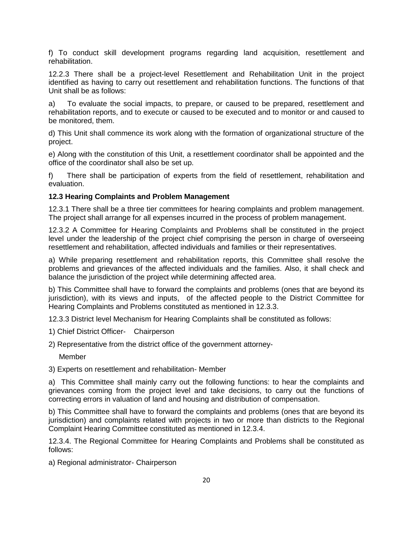f) To conduct skill development programs regarding land acquisition, resettlement and rehabilitation.

12.2.3 There shall be a project-level Resettlement and Rehabilitation Unit in the project identified as having to carry out resettlement and rehabilitation functions. The functions of that Unit shall be as follows:

a) To evaluate the social impacts, to prepare, or caused to be prepared, resettlement and rehabilitation reports, and to execute or caused to be executed and to monitor or and caused to be monitored, them.

d) This Unit shall commence its work along with the formation of organizational structure of the project.

e) Along with the constitution of this Unit, a resettlement coordinator shall be appointed and the office of the coordinator shall also be set up.

f) There shall be participation of experts from the field of resettlement, rehabilitation and evaluation.

### **12.3 Hearing Complaints and Problem Management**

12.3.1 There shall be a three tier committees for hearing complaints and problem management. The project shall arrange for all expenses incurred in the process of problem management.

12.3.2 A Committee for Hearing Complaints and Problems shall be constituted in the project level under the leadership of the project chief comprising the person in charge of overseeing resettlement and rehabilitation, affected individuals and families or their representatives.

a) While preparing resettlement and rehabilitation reports, this Committee shall resolve the problems and grievances of the affected individuals and the families. Also, it shall check and balance the jurisdiction of the project while determining affected area.

b) This Committee shall have to forward the complaints and problems (ones that are beyond its jurisdiction), with its views and inputs, of the affected people to the District Committee for Hearing Complaints and Problems constituted as mentioned in 12.3.3.

12.3.3 District level Mechanism for Hearing Complaints shall be constituted as follows:

1) Chief District Officer- Chairperson

2) Representative from the district office of the government attorney-

Member

3) Experts on resettlement and rehabilitation- Member

a) This Committee shall mainly carry out the following functions: to hear the complaints and grievances coming from the project level and take decisions, to carry out the functions of correcting errors in valuation of land and housing and distribution of compensation.

b) This Committee shall have to forward the complaints and problems (ones that are beyond its jurisdiction) and complaints related with projects in two or more than districts to the Regional Complaint Hearing Committee constituted as mentioned in 12.3.4.

12.3.4. The Regional Committee for Hearing Complaints and Problems shall be constituted as follows:

a) Regional administrator- Chairperson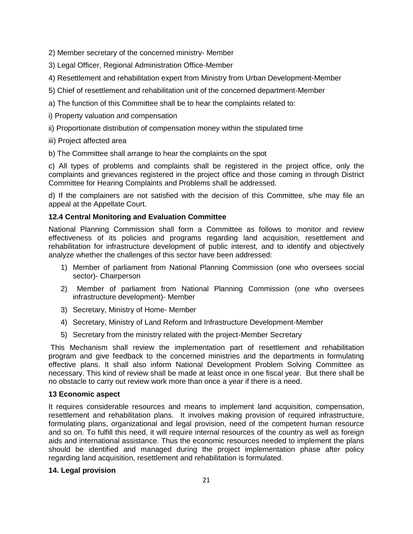2) Member secretary of the concerned ministry- Member

3) Legal Officer, Regional Administration Office-Member

4) Resettlement and rehabilitation expert from Ministry from Urban Development-Member

5) Chief of resettlement and rehabilitation unit of the concerned department-Member

a) The function of this Committee shall be to hear the complaints related to:

i) Property valuation and compensation

ii) Proportionate distribution of compensation money within the stipulated time

iii) Project affected area

b) The Committee shall arrange to hear the complaints on the spot

c) All types of problems and complaints shall be registered in the project office, only the complaints and grievances registered in the project office and those coming in through District Committee for Hearing Complaints and Problems shall be addressed.

d) If the complainers are not satisfied with the decision of this Committee, s/he may file an appeal at the Appellate Court.

### **12.4 Central Monitoring and Evaluation Committee**

National Planning Commission shall form a Committee as follows to monitor and review effectiveness of its policies and programs regarding land acquisition, resettlement and rehabilitation for infrastructure development of public interest, and to identify and objectively analyze whether the challenges of this sector have been addressed:

- 1) Member of parliament from National Planning Commission (one who oversees social sector)- Chairperson
- 2) Member of parliament from National Planning Commission (one who oversees infrastructure development)- Member
- 3) Secretary, Ministry of Home- Member
- 4) Secretary, Ministry of Land Reform and Infrastructure Development-Member
- 5) Secretary from the ministry related with the project-Member Secretary

This Mechanism shall review the implementation part of resettlement and rehabilitation program and give feedback to the concerned ministries and the departments in formulating effective plans. It shall also inform National Development Problem Solving Committee as necessary. This kind of review shall be made at least once in one fiscal year. But there shall be no obstacle to carry out review work more than once a year if there is a need.

#### **13 Economic aspect**

It requires considerable resources and means to implement land acquisition, compensation, resettlement and rehabilitation plans. It involves making provision of required infrastructure, formulating plans, organizational and legal provision, need of the competent human resource and so on. To fulfill this need, it will require internal resources of the country as well as foreign aids and international assistance. Thus the economic resources needed to implement the plans should be identified and managed during the project implementation phase after policy regarding land acquisition, resettlement and rehabilitation is formulated.

#### **14. Legal provision**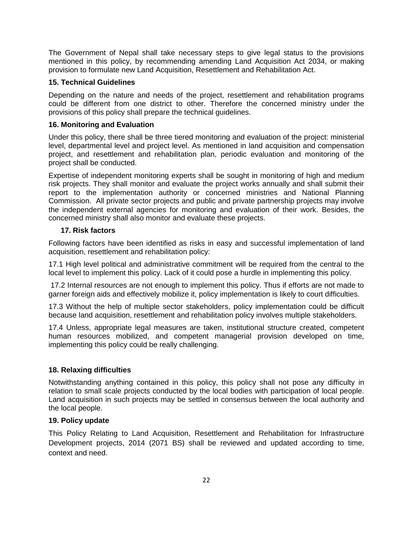The Government of Nepal shall take necessary steps to give legal status to the provisions mentioned in this policy, by recommending amending Land Acquisition Act 2034, or making provision to formulate new Land Acquisition, Resettlement and Rehabilitation Act.

### **15. Technical Guidelines**

Depending on the nature and needs of the project, resettlement and rehabilitation programs could be different from one district to other. Therefore the concerned ministry under the provisions of this policy shall prepare the technical guidelines.

### **16. Monitoring and Evaluation**

Under this policy, there shall be three tiered monitoring and evaluation of the project: ministerial level, departmental level and project level. As mentioned in land acquisition and compensation project, and resettlement and rehabilitation plan, periodic evaluation and monitoring of the project shall be conducted.

Expertise of independent monitoring experts shall be sought in monitoring of high and medium risk projects. They shall monitor and evaluate the project works annually and shall submit their report to the implementation authority or concerned ministries and National Planning Commission. All private sector projects and public and private partnership projects may involve the independent external agencies for monitoring and evaluation of their work. Besides, the concerned ministry shall also monitor and evaluate these projects.

### **17. Risk factors**

Following factors have been identified as risks in easy and successful implementation of land acquisition, resettlement and rehabilitation policy:

17.1 High level political and administrative commitment will be required from the central to the local level to implement this policy. Lack of it could pose a hurdle in implementing this policy.

17.2 Internal resources are not enough to implement this policy. Thus if efforts are not made to garner foreign aids and effectively mobilize it, policy implementation is likely to court difficulties.

17.3 Without the help of multiple sector stakeholders, policy implementation could be difficult because land acquisition, resettlement and rehabilitation policy involves multiple stakeholders.

17.4 Unless, appropriate legal measures are taken, institutional structure created, competent human resources mobilized, and competent managerial provision developed on time, implementing this policy could be really challenging.

## **18. Relaxing difficulties**

Notwithstanding anything contained in this policy, this policy shall not pose any difficulty in relation to small scale projects conducted by the local bodies with participation of local people. Land acquisition in such projects may be settled in consensus between the local authority and the local people.

#### **19. Policy update**

This Policy Relating to Land Acquisition, Resettlement and Rehabilitation for Infrastructure Development projects, 2014 (2071 BS) shall be reviewed and updated according to time, context and need.